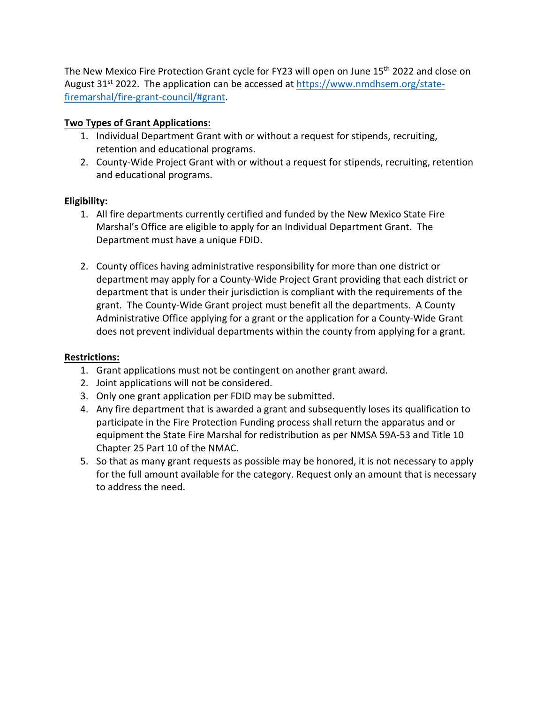The New Mexico Fire Protection Grant cycle for FY23 will open on June 15<sup>th</sup> 2022 and close on August 31<sup>st</sup> 2022. The application can be accessed at https://www.nmdhsem.org/statefiremarshal/fire-grant-council/#grant.

## **Two Types of Grant Applications:**

- 1. Individual Department Grant with or without a request for stipends, recruiting, retention and educational programs.
- 2. County-Wide Project Grant with or without a request for stipends, recruiting, retention and educational programs.

## **Eligibility:**

- 1. All fire departments currently certified and funded by the New Mexico State Fire Marshal's Office are eligible to apply for an Individual Department Grant. The Department must have a unique FDID.
- 2. County offices having administrative responsibility for more than one district or department may apply for a County-Wide Project Grant providing that each district or department that is under their jurisdiction is compliant with the requirements of the grant. The County-Wide Grant project must benefit all the departments. A County Administrative Office applying for a grant or the application for a County-Wide Grant does not prevent individual departments within the county from applying for a grant.

#### **Restrictions:**

- 1. Grant applications must not be contingent on another grant award.
- 2. Joint applications will not be considered.
- 3. Only one grant application per FDID may be submitted.
- 4. Any fire department that is awarded a grant and subsequently loses its qualification to participate in the Fire Protection Funding process shall return the apparatus and or equipment the State Fire Marshal for redistribution as per NMSA 59A-53 and Title 10 Chapter 25 Part 10 of the NMAC.
- 5. So that as many grant requests as possible may be honored, it is not necessary to apply for the full amount available for the category. Request only an amount that is necessary to address the need.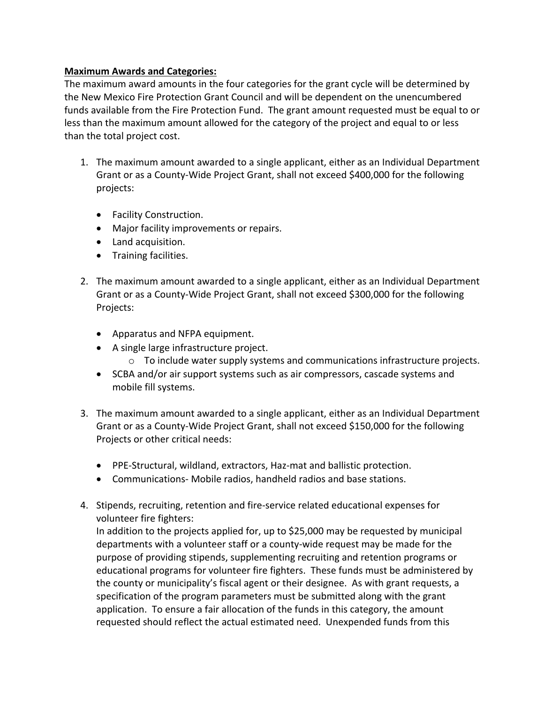## **Maximum Awards and Categories:**

The maximum award amounts in the four categories for the grant cycle will be determined by the New Mexico Fire Protection Grant Council and will be dependent on the unencumbered funds available from the Fire Protection Fund. The grant amount requested must be equal to or less than the maximum amount allowed for the category of the project and equal to or less than the total project cost.

- 1. The maximum amount awarded to a single applicant, either as an Individual Department Grant or as a County-Wide Project Grant, shall not exceed \$400,000 for the following projects:
	- Facility Construction.
	- Major facility improvements or repairs.
	- Land acquisition.
	- Training facilities.
- 2. The maximum amount awarded to a single applicant, either as an Individual Department Grant or as a County-Wide Project Grant, shall not exceed \$300,000 for the following Projects:
	- Apparatus and NFPA equipment.
	- A single large infrastructure project.
		- $\circ$  To include water supply systems and communications infrastructure projects.
	- SCBA and/or air support systems such as air compressors, cascade systems and mobile fill systems.
- 3. The maximum amount awarded to a single applicant, either as an Individual Department Grant or as a County-Wide Project Grant, shall not exceed \$150,000 for the following Projects or other critical needs:
	- PPE-Structural, wildland, extractors, Haz-mat and ballistic protection.
	- Communications- Mobile radios, handheld radios and base stations.
- 4. Stipends, recruiting, retention and fire-service related educational expenses for volunteer fire fighters:

In addition to the projects applied for, up to \$25,000 may be requested by municipal departments with a volunteer staff or a county-wide request may be made for the purpose of providing stipends, supplementing recruiting and retention programs or educational programs for volunteer fire fighters. These funds must be administered by the county or municipality's fiscal agent or their designee. As with grant requests, a specification of the program parameters must be submitted along with the grant application. To ensure a fair allocation of the funds in this category, the amount requested should reflect the actual estimated need. Unexpended funds from this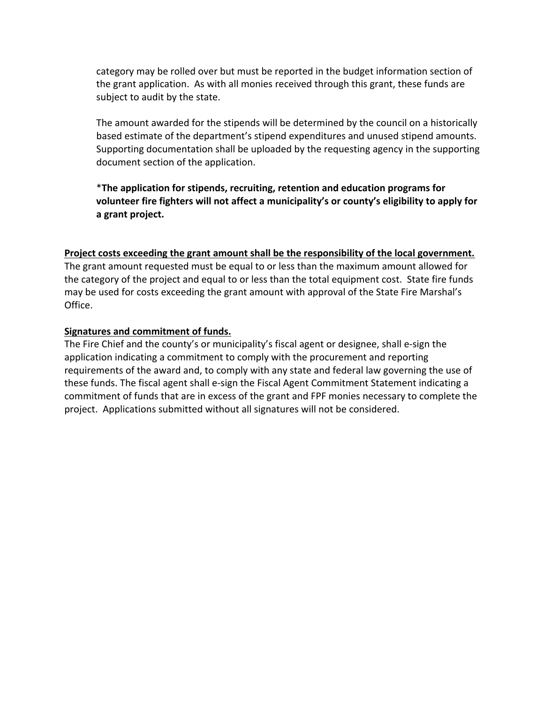category may be rolled over but must be reported in the budget information section of the grant application. As with all monies received through this grant, these funds are subject to audit by the state.

The amount awarded for the stipends will be determined by the council on a historically based estimate of the department's stipend expenditures and unused stipend amounts. Supporting documentation shall be uploaded by the requesting agency in the supporting document section of the application.

\***The application for stipends, recruiting, retention and education programs for volunteer fire fighters will not affect a municipality's or county's eligibility to apply for a grant project.**

### **Project costs exceeding the grant amount shall be the responsibility of the local government.**

The grant amount requested must be equal to or less than the maximum amount allowed for the category of the project and equal to or less than the total equipment cost. State fire funds may be used for costs exceeding the grant amount with approval of the State Fire Marshal's Office.

### **Signatures and commitment of funds.**

The Fire Chief and the county's or municipality's fiscal agent or designee, shall e-sign the application indicating a commitment to comply with the procurement and reporting requirements of the award and, to comply with any state and federal law governing the use of these funds. The fiscal agent shall e-sign the Fiscal Agent Commitment Statement indicating a commitment of funds that are in excess of the grant and FPF monies necessary to complete the project. Applications submitted without all signatures will not be considered.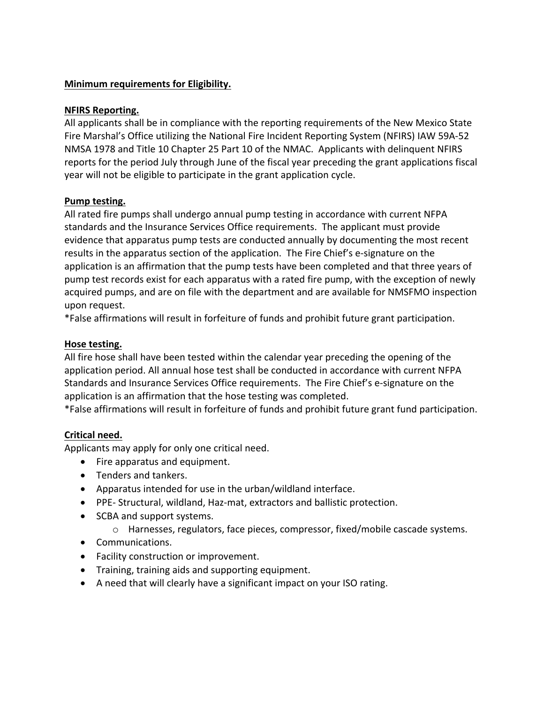# **Minimum requirements for Eligibility.**

### **NFIRS Reporting.**

All applicants shall be in compliance with the reporting requirements of the New Mexico State Fire Marshal's Office utilizing the National Fire Incident Reporting System (NFIRS) IAW 59A-52 NMSA 1978 and Title 10 Chapter 25 Part 10 of the NMAC. Applicants with delinquent NFIRS reports for the period July through June of the fiscal year preceding the grant applications fiscal year will not be eligible to participate in the grant application cycle.

## **Pump testing.**

All rated fire pumps shall undergo annual pump testing in accordance with current NFPA standards and the Insurance Services Office requirements. The applicant must provide evidence that apparatus pump tests are conducted annually by documenting the most recent results in the apparatus section of the application. The Fire Chief's e-signature on the application is an affirmation that the pump tests have been completed and that three years of pump test records exist for each apparatus with a rated fire pump, with the exception of newly acquired pumps, and are on file with the department and are available for NMSFMO inspection upon request.

\*False affirmations will result in forfeiture of funds and prohibit future grant participation.

### **Hose testing.**

All fire hose shall have been tested within the calendar year preceding the opening of the application period. All annual hose test shall be conducted in accordance with current NFPA Standards and Insurance Services Office requirements. The Fire Chief's e-signature on the application is an affirmation that the hose testing was completed.

\*False affirmations will result in forfeiture of funds and prohibit future grant fund participation.

## **Critical need.**

Applicants may apply for only one critical need.

- Fire apparatus and equipment.
- Tenders and tankers.
- Apparatus intended for use in the urban/wildland interface.
- PPE- Structural, wildland, Haz-mat, extractors and ballistic protection.
- SCBA and support systems.
	- o Harnesses, regulators, face pieces, compressor, fixed/mobile cascade systems.
- Communications.
- Facility construction or improvement.
- Training, training aids and supporting equipment.
- A need that will clearly have a significant impact on your ISO rating.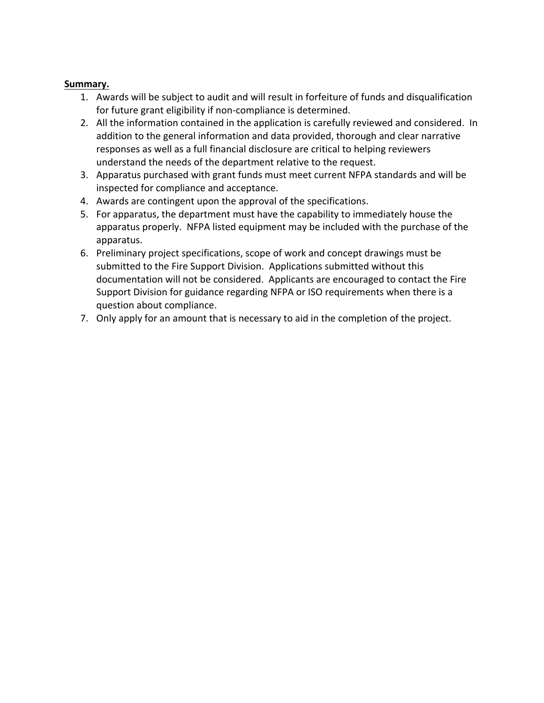### **Summary.**

- 1. Awards will be subject to audit and will result in forfeiture of funds and disqualification for future grant eligibility if non-compliance is determined.
- 2. All the information contained in the application is carefully reviewed and considered. In addition to the general information and data provided, thorough and clear narrative responses as well as a full financial disclosure are critical to helping reviewers understand the needs of the department relative to the request.
- 3. Apparatus purchased with grant funds must meet current NFPA standards and will be inspected for compliance and acceptance.
- 4. Awards are contingent upon the approval of the specifications.
- 5. For apparatus, the department must have the capability to immediately house the apparatus properly. NFPA listed equipment may be included with the purchase of the apparatus.
- 6. Preliminary project specifications, scope of work and concept drawings must be submitted to the Fire Support Division. Applications submitted without this documentation will not be considered. Applicants are encouraged to contact the Fire Support Division for guidance regarding NFPA or ISO requirements when there is a question about compliance.
- 7. Only apply for an amount that is necessary to aid in the completion of the project.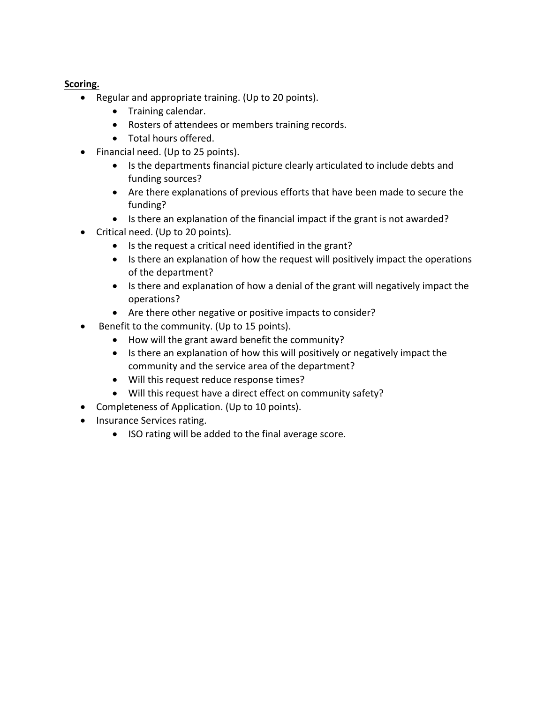# **Scoring.**

- Regular and appropriate training. (Up to 20 points).
	- Training calendar.
	- Rosters of attendees or members training records.
	- Total hours offered.
- Financial need. (Up to 25 points).
	- Is the departments financial picture clearly articulated to include debts and funding sources?
	- Are there explanations of previous efforts that have been made to secure the funding?
	- Is there an explanation of the financial impact if the grant is not awarded?
- Critical need. (Up to 20 points).
	- Is the request a critical need identified in the grant?
	- Is there an explanation of how the request will positively impact the operations of the department?
	- Is there and explanation of how a denial of the grant will negatively impact the operations?
	- Are there other negative or positive impacts to consider?
- Benefit to the community. (Up to 15 points).
	- How will the grant award benefit the community?
	- Is there an explanation of how this will positively or negatively impact the community and the service area of the department?
	- Will this request reduce response times?
	- Will this request have a direct effect on community safety?
- Completeness of Application. (Up to 10 points).
- Insurance Services rating.
	- ISO rating will be added to the final average score.